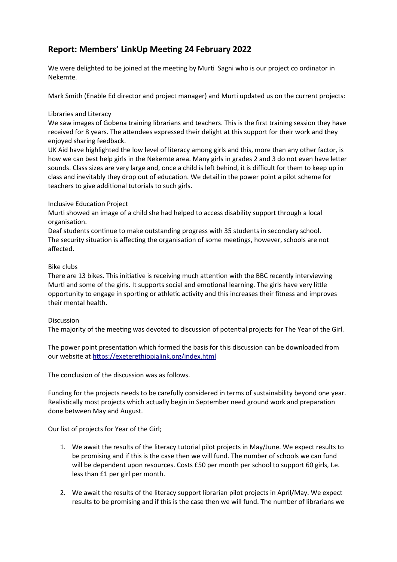# **Report: Members' LinkUp Meeting 24 February 2022**

We were delighted to be joined at the meeting by Murti Sagni who is our project co ordinator in Nekemte.

Mark Smith (Enable Ed director and project manager) and Murti updated us on the current projects:

# Libraries and Literacy

We saw images of Gobena training librarians and teachers. This is the first training session they have received for 8 years. The attendees expressed their delight at this support for their work and they enjoyed sharing feedback.

UK Aid have highlighted the low level of literacy among girls and this, more than any other factor, is how we can best help girls in the Nekemte area. Many girls in grades 2 and 3 do not even have letter sounds. Class sizes are very large and, once a child is left behind, it is difficult for them to keep up in class and inevitably they drop out of education. We detail in the power point a pilot scheme for teachers to give additional tutorials to such girls.

# Inclusive Education Project

Murti showed an image of a child she had helped to access disability support through a local organisation.

Deaf students continue to make outstanding progress with 35 students in secondary school. The security situation is affecting the organisation of some meetings, however, schools are not affected.

# Bike clubs

There are 13 bikes. This initiative is receiving much attention with the BBC recently interviewing Murti and some of the girls. It supports social and emotional learning. The girls have very little opportunity to engage in sporting or athletic activity and this increases their fitness and improves their mental health.

### **Discussion**

[The majority of the meeting](https://exeterethiopialink.org/index.html) was devoted to discussion of potential projects for The Year of the Girl.

The power point presentation which formed the basis for this discussion can be downloaded from our website at https://exeterethiopialink.org/index.html

The conclusion of the discussion was as follows.

Funding for the projects needs to be carefully considered in terms of sustainability beyond one year. Realistically most projects which actually begin in September need ground work and preparation done between May and August.

Our list of projects for Year of the Girl;

- 1. We await the results of the literacy tutorial pilot projects in May/June. We expect results to be promising and if this is the case then we will fund. The number of schools we can fund will be dependent upon resources. Costs £50 per month per school to support 60 girls, I.e. less than £1 per girl per month.
- 2. We await the results of the literacy support librarian pilot projects in April/May. We expect results to be promising and if this is the case then we will fund. The number of librarians we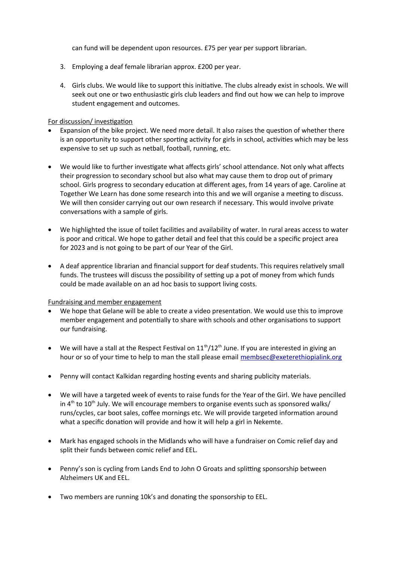can fund will be dependent upon resources. £75 per year per support librarian.

- 3. Employing a deaf female librarian approx. £200 per year.
- 4. Girls clubs. We would like to support this initiative. The clubs already exist in schools. We will seek out one or two enthusiastic girls club leaders and find out how we can help to improve student engagement and outcomes.

# For discussion/ investigation

- Expansion of the bike project. We need more detail. It also raises the question of whether there is an opportunity to support other sporting activity for girls in school, activities which may be less expensive to set up such as netball, football, running, etc.
- We would like to further investigate what affects girls' school attendance. Not only what affects their progression to secondary school but also what may cause them to drop out of primary school. Girls progress to secondary education at different ages, from 14 years of age. Caroline at Together We Learn has done s[ome research into this and](mailto:membsec@exeterethiopialink.org) we will organise a meeting to discuss. We will then consider carrying out our own research if necessary. This would involve private conversations with a sample of girls.
- We highlighted the issue of toilet facilities and availability of water. In rural areas access to water is poor and critical. We hope to gather detail and feel that this could be a specific project area for 2023 and is not going to be part of our Year of the Girl.
- A deaf apprentice librarian and financial support for deaf students. This requires relatively small funds. The trustees will discuss the possibility of setting up a pot of money from which funds could be made available on an ad hoc basis to support living costs.

### Fundraising and member engagement

- We hope that Gelane will be able to create a video presentation. We would use this to improve member engagement and potentially to share with schools and other organisations to support our fundraising.
- We will have a stall at the Respect Festival on  $11<sup>th</sup>/12<sup>th</sup>$  June. If you are interested in giving an hour or so of your time to help to man the stall please email membsec@exeterethiopialink.org
- Penny will contact Kalkidan regarding hosting events and sharing publicity materials.
- We will have a targeted week of events to raise funds for the Year of the Girl. We have pencilled in  $4<sup>th</sup>$  to  $10<sup>th</sup>$  July. We will encourage members to organise events such as sponsored walks/ runs/cycles, car boot sales, coffee mornings etc. We will provide targeted information around what a specific donation will provide and how it will help a girl in Nekemte.
- Mark has engaged schools in the Midlands who will have a fundraiser on Comic relief day and split their funds between comic relief and EEL.
- Penny's son is cycling from Lands End to John O Groats and splitting sponsorship between Alzheimers UK and EEL.
- Two members are running 10k's and donating the sponsorship to EEL.